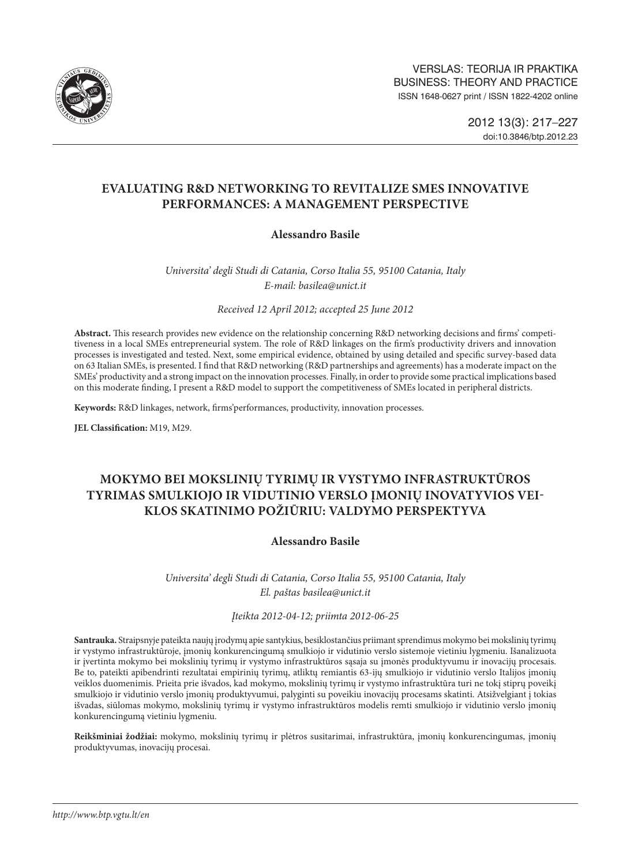

# **EVALUATING R&D NETWORKING TO REVITALIZE SMES INNOVATIVE PERFORMANCES: A MANAGEMENT PERSPECTIVE**

## **Alessandro Basile**

*Universita' degli Studi di Catania, Corso Italia 55, 95100 Catania, Italy E-mail: [basilea@unict.it](mailto:basilea@unict.it)*

*Received 12 April 2012; accepted 25 June 2012*

**Abstract.** This research provides new evidence on the relationship concerning R&D networking decisions and firms' competitiveness in a local SMEs entrepreneurial system. The role of R&D linkages on the firm's productivity drivers and innovation processes is investigated and tested. Next, some empirical evidence, obtained by using detailed and specific survey-based data on 63 Italian SMEs, is presented. I find that R&D networking (R&D partnerships and agreements) has a moderate impact on the SMEs' productivity and a strong impact on the innovation processes. Finally, in order to provide some practical implications based on this moderate finding, I present a R&D model to support the competitiveness of SMEs located in peripheral districts.

**Keywords:** R&D linkages, network, firms'performances, productivity, innovation processes.

**JEL Classification:** M19, M29.

# **MOKYMO BEI MOKSLINIŲ TYRIMŲ IR VYSTYMO INFRASTRUKTŪROS TYRIMAS SMULKIOJO IR VIDUTINIO VERSLO ĮMONIŲ INOVATYVIOS VEI-KLOS SKATINIMO POŽIŪRIU: VALDYMO PERSPEKTYVA**

## **Alessandro Basile**

*Universita' degli Studi di Catania, Corso Italia 55, 95100 Catania, Italy El. paštas basilea@unict.it*

## *Įteikta 2012-04-12; priimta 2012-06-25*

**Santrauka.** Straipsnyje pateikta naujų įrodymų apie santykius, besiklostančius priimant sprendimus mokymo bei mokslinių tyrimų ir vystymo infrastruktūroje, įmonių konkurencingumą smulkiojo ir vidutinio verslo sistemoje vietiniu lygmeniu. Išanalizuota ir įvertinta mokymo bei mokslinių tyrimų ir vystymo infrastruktūros sąsaja su įmonės produktyvumu ir inovacijų procesais. Be to, pateikti apibendrinti rezultatai empirinių tyrimų, atliktų remiantis 63-ijų smulkiojo ir vidutinio verslo Italijos įmonių veiklos duomenimis. Prieita prie išvados, kad mokymo, mokslinių tyrimų ir vystymo infrastruktūra turi ne tokį stiprų poveikį smulkiojo ir vidutinio verslo įmonių produktyvumui, palyginti su poveikiu inovacijų procesams skatinti. Atsižvelgiant į tokias išvadas, siūlomas mokymo, mokslinių tyrimų ir vystymo infrastruktūros modelis remti smulkiojo ir vidutinio verslo įmonių konkurencingumą vietiniu lygmeniu.

**Reikšminiai žodžiai:** mokymo, mokslinių tyrimų ir plėtros susitarimai, infrastruktūra, įmonių konkurencingumas, įmonių produktyvumas, inovacijų procesai.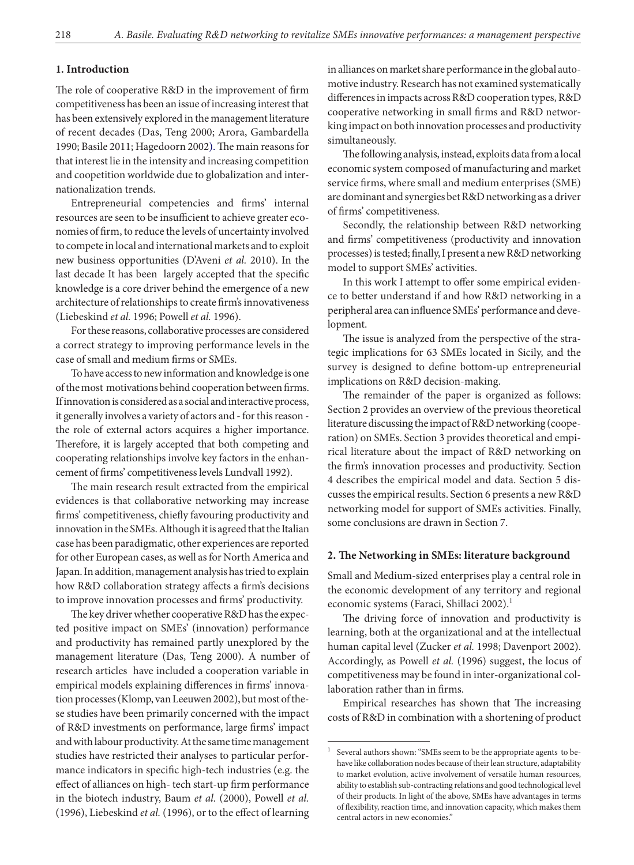## **1. Introduction**

The role of cooperative R&D in the improvement of firm competitiveness has been an issue of increasing interest that has been extensively explored in the management literature of recent decades (Das, Teng 2000; Arora, Gambardella 1990; Basile 2011; Hagedoorn 2002). The main reasons for that interest lie in the intensity and increasing competition and coopetition worldwide due to globalization and internationalization trends.

Entrepreneurial competencies and firms' internal resources are seen to be insufficient to achieve greater economies of firm, to reduce the levels of uncertainty involved to compete in local and international markets and to exploit new business opportunities (D'Aveni *et al.* 2010). In the last decade It has been largely accepted that the specific knowledge is a core driver behind the emergence of a new architecture of relationships to create firm's innovativeness (Liebeskind *et al.* 1996; Powell *et al.* 1996).

For these reasons, collaborative processes are considered a correct strategy to improving performance levels in the case of small and medium firms or SMEs.

To have access to new information and knowledge is one of the most motivations behind cooperation between firms. If innovation is considered as a social and interactive process, it generally involves a variety of actors and - for this reason the role of external actors acquires a higher importance. Therefore, it is largely accepted that both competing and cooperating relationships involve key factors in the enhancement of firms' competitiveness levels Lundvall 1992).

The main research result extracted from the empirical evidences is that collaborative networking may increase firms' competitiveness, chiefly favouring productivity and innovation in the SMEs. Although it is agreed that the Italian case has been paradigmatic, other experiences are reported for other European cases, as well as for North America and Japan. In addition, management analysis has tried to explain how R&D collaboration strategy affects a firm's decisions to improve innovation processes and firms' productivity.

The key driver whether cooperative R&D has the expected positive impact on SMEs' (innovation) performance and productivity has remained partly unexplored by the management literature (Das, Teng 2000). A number of research articles have included a cooperation variable in empirical models explaining differences in firms' innovation processes (Klomp, van Leeuwen 2002), but most of these studies have been primarily concerned with the impact of R&D investments on performance, large firms' impact and with labour productivity. At the same time management studies have restricted their analyses to particular performance indicators in specific high-tech industries (e.g. the effect of alliances on high- tech start-up firm performance in the biotech industry, Baum *et al.* (2000), Powell *et al.* (1996), Liebeskind *et al.* (1996), or to the effect of learning

in alliances on market share performance in the global automotive industry. Research has not examined systematically differences in impacts across R&D cooperation types, R&D cooperative networking in small firms and R&D networking impact on both innovation processes and productivity simultaneously.

The following analysis, instead, exploits data from a local economic system composed of manufacturing and market service firms, where small and medium enterprises (SME) are dominant and synergies bet R&D networking as a driver of firms' competitiveness.

Secondly, the relationship between R&D networking and firms' competitiveness (productivity and innovation processes) is tested; finally, I present a new R&D networking model to support SMEs' activities.

In this work I attempt to offer some empirical evidence to better understand if and how R&D networking in a peripheral area can influence SMEs' performance and development.

The issue is analyzed from the perspective of the strategic implications for 63 SMEs located in Sicily, and the survey is designed to define bottom-up entrepreneurial implications on R&D decision-making.

The remainder of the paper is organized as follows: Section 2 provides an overview of the previous theoretical literature discussing the impact of R&D networking (cooperation) on SMEs. Section 3 provides theoretical and empirical literature about the impact of R&D networking on the firm's innovation processes and productivity. Section 4 describes the empirical model and data. Section 5 discusses the empirical results. Section 6 presents a new R&D networking model for support of SMEs activities. Finally, some conclusions are drawn in Section 7.

## **2. The Networking in SMEs: literature background**

Small and Medium-sized enterprises play a central role in the economic development of any territory and regional economic systems (Faraci, Shillaci 2002).<sup>1</sup>

The driving force of innovation and productivity is learning, both at the organizational and at the intellectual human capital level (Zucker *et al.* 1998; Davenport 2002). Accordingly, as Powell *et al.* (1996) suggest, the locus of competitiveness may be found in inter-organizational collaboration rather than in firms.

Empirical researches has shown that The increasing costs of R&D in combination with a shortening of product

Several authors shown: "SMEs seem to be the appropriate agents to behave like collaboration nodes because of their lean structure, adaptability to market evolution, active involvement of versatile human resources, ability to establish sub-contracting relations and good technological level of their products. In light of the above, SMEs have advantages in terms of flexibility, reaction time, and innovation capacity, which makes them central actors in new economies."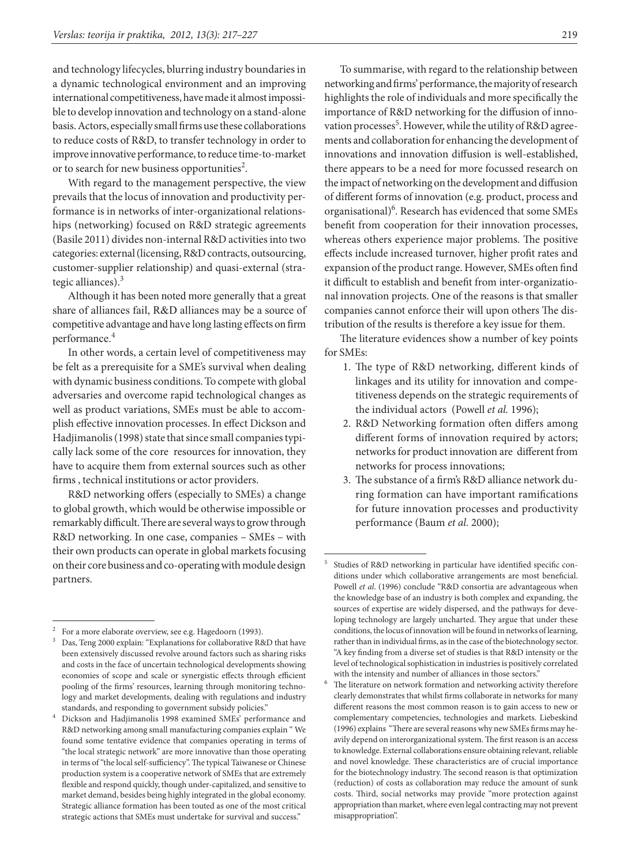and technology lifecycles, blurring industry boundaries in a dynamic technological environment and an improving international competitiveness, have made it almost impossible to develop innovation and technology on a stand-alone basis. Actors, especially small firms use these collaborations to reduce costs of R&D, to transfer technology in order to improve innovative performance, to reduce time-to-market or to search for new business opportunities<sup>2</sup>.

With regard to the management perspective, the view prevails that the locus of innovation and productivity performance is in networks of inter-organizational relationships (networking) focused on R&D strategic agreements (Basile 2011) divides non-internal R&D activities into two categories: external (licensing, R&D contracts, outsourcing, customer-supplier relationship) and quasi-external (strategic alliances). $3$ 

Although it has been noted more generally that a great share of alliances fail, R&D alliances may be a source of competitive advantage and have long lasting effects on firm performance.<sup>4</sup>

In other words, a certain level of competitiveness may be felt as a prerequisite for a SME's survival when dealing with dynamic business conditions. To compete with global adversaries and overcome rapid technological changes as well as product variations, SMEs must be able to accomplish effective innovation processes. In effect Dickson and Hadjimanolis (1998) state that since small companies typically lack some of the core resources for innovation, they have to acquire them from external sources such as other firms , technical institutions or actor providers.

R&D networking offers (especially to SMEs) a change to global growth, which would be otherwise impossible or remarkably difficult. There are several ways to grow through R&D networking. In one case, companies – SMEs – with their own products can operate in global markets focusing on their core business and co-operating with module design partners.

To summarise, with regard to the relationship between networking and firms' performance, the majority of research highlights the role of individuals and more specifically the importance of R&D networking for the diffusion of innovation processes<sup>5</sup>. However, while the utility of R&D agreements and collaboration for enhancing the development of innovations and innovation diffusion is well-established, there appears to be a need for more focussed research on the impact of networking on the development and diffusion of different forms of innovation (e.g. product, process and organisational)<sup>6</sup>. Research has evidenced that some SMEs benefit from cooperation for their innovation processes, whereas others experience major problems. The positive effects include increased turnover, higher profit rates and expansion of the product range. However, SMEs often find it difficult to establish and benefit from inter-organizational innovation projects. One of the reasons is that smaller companies cannot enforce their will upon others The distribution of the results is therefore a key issue for them.

The literature evidences show a number of key points for SMEs:

- 1. The type of R&D networking, different kinds of linkages and its utility for innovation and competitiveness depends on the strategic requirements of the individual actors (Powell *et al.* 1996);
- 2. R&D Networking formation often differs among different forms of innovation required by actors; networks for product innovation are different from networks for process innovations;
- 3. The substance of a firm's R&D alliance network during formation can have important ramifications for future innovation processes and productivity performance (Baum *et al.* 2000);

For a more elaborate overview, see e.g. Hagedoorn (1993).

Das, Teng 2000 explain: "Explanations for collaborative R&D that have been extensively discussed revolve around factors such as sharing risks and costs in the face of uncertain technological developments showing economies of scope and scale or synergistic effects through efficient pooling of the firms' resources, learning through monitoring technology and market developments, dealing with regulations and industry standards, and responding to government subsidy policies."

<sup>4</sup> Dickson and Hadjimanolis 1998 examined SMEs' performance and R&D networking among small manufacturing companies explain " We found some tentative evidence that companies operating in terms of "the local strategic network" are more innovative than those operating in terms of "the local self-sufficiency". The typical Taiwanese or Chinese production system is a cooperative network of SMEs that are extremely flexible and respond quickly, though under-capitalized, and sensitive to market demand, besides being highly integrated in the global economy. Strategic alliance formation has been touted as one of the most critical strategic actions that SMEs must undertake for survival and success."

<sup>5</sup> Studies of R&D networking in particular have identified specific conditions under which collaborative arrangements are most beneficial. Powell *et al*. (1996) conclude "R&D consortia are advantageous when the knowledge base of an industry is both complex and expanding, the sources of expertise are widely dispersed, and the pathways for developing technology are largely uncharted. They argue that under these conditions, the locus of innovation will be found in networks of learning, rather than in individual firms, as in the case of the biotechnology sector. "A key finding from a diverse set of studies is that R&D intensity or the level of technological sophistication in industries is positively correlated with the intensity and number of alliances in those sectors."<br>The literature on network formation and networking activity therefore

clearly demonstrates that whilst firms collaborate in networks for many different reasons the most common reason is to gain access to new or complementary competencies, technologies and markets. Liebeskind (1996) explains "There are several reasons why new SMEs firms may heavily depend on interorganizational system. The first reason is an access to knowledge. External collaborations ensure obtaining relevant, reliable and novel knowledge. These characteristics are of crucial importance for the biotechnology industry. The second reason is that optimization (reduction) of costs as collaboration may reduce the amount of sunk costs. Third, social networks may provide "more protection against appropriation than market, where even legal contracting may not prevent misappropriation".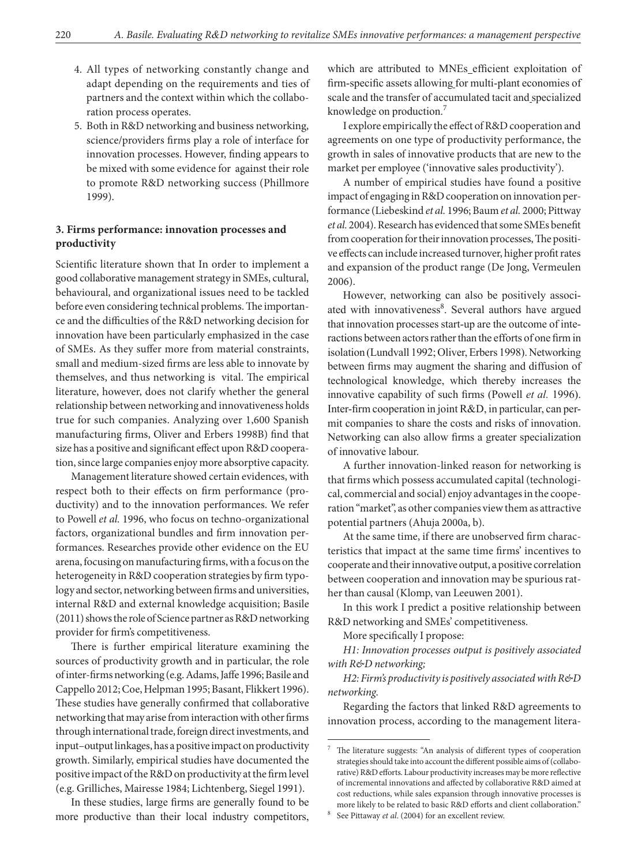- 4. All types of networking constantly change and adapt depending on the requirements and ties of partners and the context within which the collaboration process operates.
- 5. Both in R&D networking and business networking, science/providers firms play a role of interface for innovation processes. However, finding appears to be mixed with some evidence for against their role to promote R&D networking success (Phillmore 1999).

## **3. Firms performance: innovation processes and productivity**

Scientific literature shown that In order to implement a good collaborative management strategy in SMEs, cultural, behavioural, and organizational issues need to be tackled before even considering technical problems. The importance and the difficulties of the R&D networking decision for innovation have been particularly emphasized in the case of SMEs. As they suffer more from material constraints, small and medium-sized firms are less able to innovate by themselves, and thus networking is vital. The empirical literature, however, does not clarify whether the general relationship between networking and innovativeness holds true for such companies. Analyzing over 1,600 Spanish manufacturing firms, Oliver and Erbers 1998B) find that size has a positive and significant effect upon R&D cooperation, since large companies enjoy more absorptive capacity.

Management literature showed certain evidences, with respect both to their effects on firm performance (productivity) and to the innovation performances. We refer to Powell *et al.* 1996, who focus on techno-organizational factors, organizational bundles and firm innovation performances. Researches provide other evidence on the EU arena, focusing on manufacturing firms, with a focus on the heterogeneity in R&D cooperation strategies by firm typology and sector, networking between firms and universities, internal R&D and external knowledge acquisition; Basile (2011) shows the role of Science partner as R&D networking provider for firm's competitiveness.

There is further empirical literature examining the sources of productivity growth and in particular, the role of inter-firms networking (e.g. Adams, Jaffe 1996; Basile and Cappello 2012; Coe, Helpman 1995; Basant, Flikkert 1996). These studies have generally confirmed that collaborative networking that may arise from interaction with other firms through international trade, foreign direct investments, and input–output linkages, has a positive impact on productivity growth. Similarly, empirical studies have documented the positive impact of the R&D on productivity at the firm level (e.g. Grilliches, Mairesse 1984; Lichtenberg, Siegel 1991).

In these studies, large firms are generally found to be more productive than their local industry competitors, which are attributed to MNEs efficient exploitation of firm-specific assets allowing for multi-plant economies of scale and the transfer of accumulated tacit and specialized knowledge on production.<sup>7</sup>

I explore empirically the effect of R&D cooperation and agreements on one type of productivity performance, the growth in sales of innovative products that are new to the market per employee ('innovative sales productivity').

A number of empirical studies have found a positive impact of engaging in R&D cooperation on innovation performance (Liebeskind *et al.* 1996; Baum *et al.* 2000; Pittway *et al.* 2004). Research has evidenced that some SMEs benefit from cooperation for their innovation processes, The positive effects can include increased turnover, higher profit rates and expansion of the product range (De Jong, Vermeulen 2006).

However, networking can also be positively associated with innovativeness<sup>8</sup>. Several authors have argued that innovation processes start-up are the outcome of interactions between actors rather than the efforts of one firm in isolation (Lundvall 1992; Oliver, Erbers 1998). Networking between firms may augment the sharing and diffusion of technological knowledge, which thereby increases the innovative capability of such firms (Powell *et al.* 1996). Inter-firm cooperation in joint R&D, in particular, can permit companies to share the costs and risks of innovation. Networking can also allow firms a greater specialization of innovative labour.

A further innovation-linked reason for networking is that firms which possess accumulated capital (technological, commercial and social) enjoy advantages in the cooperation "market", as other companies view them as attractive potential partners (Ahuja 2000a, b).

At the same time, if there are unobserved firm characteristics that impact at the same time firms' incentives to cooperate and their innovative output, a positive correlation between cooperation and innovation may be spurious rather than causal (Klomp, van Leeuwen 2001).

In this work I predict a positive relationship between R&D networking and SMEs' competitiveness.

More specifically I propose:

*H1: Innovation processes output is positively associated with R&D networking;*

*H2: Firm's productivity is positively associated with R&D networking.*

Regarding the factors that linked R&D agreements to innovation process, according to the management litera-

<sup>7</sup> The literature suggests: "An analysis of different types of cooperation strategies should take into account the different possible aims of (collaborative) R&D efforts. Labour productivity increases may be more reflective of incremental innovations and affected by collaborative R&D aimed at cost reductions, while sales expansion through innovative processes is more likely to be related to basic R&D efforts and client collaboration." 8 See Pittaway *et al*. (2004) for an excellent review.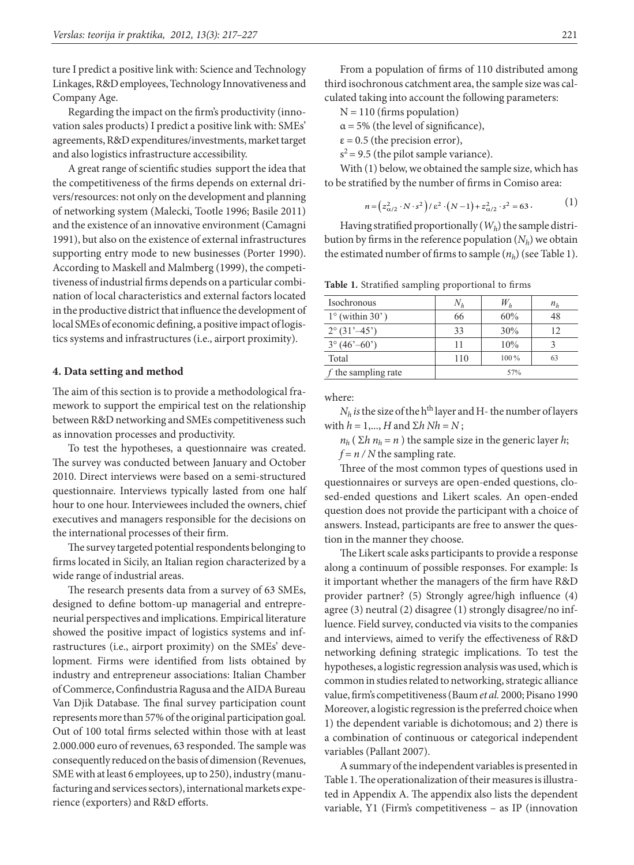ture I predict a positive link with: Science and Technology Linkages, R&D employees, Technology Innovativeness and Company Age.

Regarding the impact on the firm's productivity (innovation sales products) I predict a positive link with: SMEs' agreements, R&D expenditures/investments, market target and also logistics infrastructure accessibility.

A great range of scientific studies support the idea that the competitiveness of the firms depends on external drivers/resources: not only on the development and planning of networking system (Malecki, Tootle 1996; Basile 2011) and the existence of an innovative environment (Camagni 1991), but also on the existence of external infrastructures supporting entry mode to new businesses (Porter 1990). According to Maskell and Malmberg (1999), the competitiveness of industrial firms depends on a particular combination of local characteristics and external factors located in the productive district that influence the development of local SMEs of economic defining, a positive impact of logistics systems and infrastructures (i.e., airport proximity).

#### **4. Data setting and method**

The aim of this section is to provide a methodological framework to support the empirical test on the relationship between R&D networking and SMEs competitiveness such as innovation processes and productivity.

To test the hypotheses, a questionnaire was created. The survey was conducted between January and October 2010. Direct interviews were based on a semi-structured questionnaire. Interviews typically lasted from one half hour to one hour. Interviewees included the owners, chief executives and managers responsible for the decisions on the international processes of their firm.

The survey targeted potential respondents belonging to firms located in Sicily, an Italian region characterized by a wide range of industrial areas.

The research presents data from a survey of 63 SMEs, designed to define bottom-up managerial and entrepreneurial perspectives and implications. Empirical literature showed the positive impact of logistics systems and infrastructures (i.e., airport proximity) on the SMEs' development. Firms were identified from lists obtained by industry and entrepreneur associations: Italian Chamber of Commerce, Confindustria Ragusa and the AIDA Bureau Van Djik Database. The final survey participation count represents more than 57% of the original participation goal. Out of 100 total firms selected within those with at least 2.000.000 euro of revenues, 63 responded. The sample was consequently reduced on the basis of dimension (Revenues, SME with at least 6 employees, up to 250), industry (manufacturing and services sectors), international markets experience (exporters) and R&D efforts.

From a population of firms of 110 distributed among third isochronous catchment area, the sample size was calculated taking into account the following parameters:

 $N = 110$  (firms population)

 $\alpha$  = 5% (the level of significance),

- $\epsilon$  = 0.5 (the precision error),
- $s^2$  = 9.5 (the pilot sample variance).

With (1) below, we obtained the sample size, which has to be stratified by the number of firms in Comiso area:

$$
n = \left(z_{\alpha/2}^2 \cdot N \cdot s^2\right) / \varepsilon^2 \cdot \left(N - 1\right) + z_{\alpha/2}^2 \cdot s^2 = 63. \tag{1}
$$

Having stratified proportionally (*Wh*) the sample distribution by firms in the reference population  $(N_h)$  we obtain the estimated number of firms to sample  $(n_h)$  (see Table 1).

**Table 1.** Stratified sampling proportional to firms

| Isochronous                           | $N_h$ | $W_{h}$ | $n_h$ |
|---------------------------------------|-------|---------|-------|
| $1^{\circ}$ (within 30')              | 66    | 60%     | 48    |
| $2^{\circ}$ (31'–45')                 | 33    | 30%     | 12    |
| $3^{\circ} (46^{\circ} - 60^{\circ})$ | 11    | 10%     |       |
| Total                                 | 110   | 100 %   | 63    |
| f the sampling rate                   |       | 57%     |       |

where:

 $N_h$  *is* the size of the h<sup>th</sup> layer and H- the number of layers with  $h = 1, ..., H$  and  $\Sigma h$  *Nh* = *N*;

 $n_h$  ( $\Sigma h$   $n_h$  = *n*) the sample size in the generic layer *h*;

 $f = n / N$  the sampling rate.

Three of the most common types of questions used in questionnaires or surveys are open-ended questions, closed-ended questions and Likert scales. An open-ended question does not provide the participant with a choice of answers. Instead, participants are free to answer the question in the manner they choose.

The Likert scale asks participants to provide a response along a continuum of possible responses. For example: Is it important whether the managers of the firm have R&D provider partner? (5) Strongly agree/high influence (4) agree (3) neutral (2) disagree (1) strongly disagree/no influence. Field survey, conducted via visits to the companies and interviews, aimed to verify the effectiveness of R&D networking defining strategic implications. To test the hypotheses, a logistic regression analysis was used, which is common in studies related to networking, strategic alliance value, firm's competitiveness (Baum *et al.* 2000; Pisano 1990 Moreover, a logistic regression is the preferred choice when 1) the dependent variable is dichotomous; and 2) there is a combination of continuous or categorical independent variables (Pallant 2007).

A summary of the independent variables is presented in Table 1. The operationalization of their measures is illustrated in Appendix A. The appendix also lists the dependent variable, Y1 (Firm's competitiveness – as IP (innovation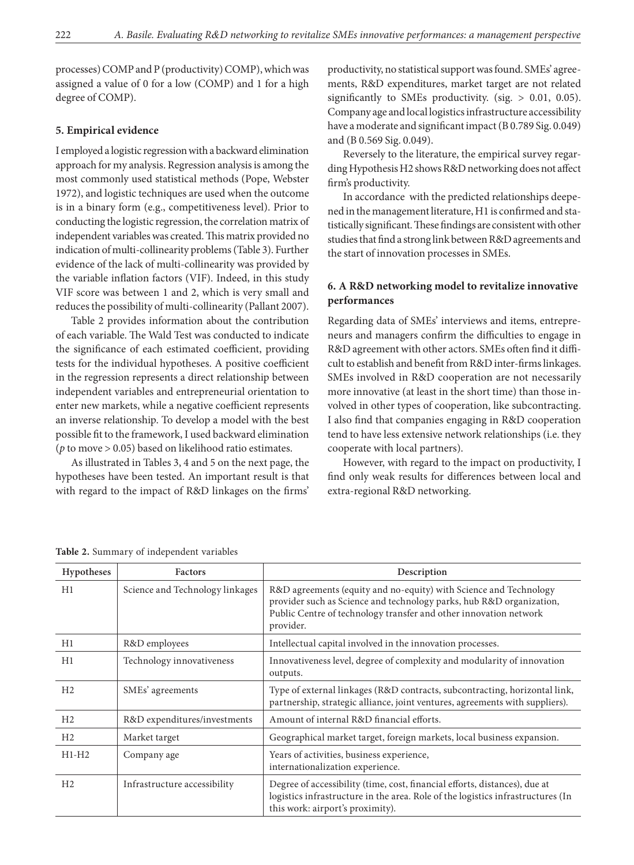processes) COMP and P (productivity) COMP), which was assigned a value of 0 for a low (COMP) and 1 for a high degree of COMP).

## **5. Empirical evidence**

I employed a logistic regression with a backward elimination approach for my analysis. Regression analysis is among the most commonly used statistical methods ([Pope, Webster](http://onlinelibrary.wiley.com/doi/10.1111/j.1540-627X.2011.00341.x/full#b65) [1972\)](http://onlinelibrary.wiley.com/doi/10.1111/j.1540-627X.2011.00341.x/full#b65), and logistic techniques are used when the outcome is in a binary form (e.g., competitiveness level). Prior to conducting the logistic regression, the correlation matrix of independent variables was created. This matrix provided no indication of multi-collinearity problems (Table 3). Further evidence of the lack of multi-collinearity was provided by the variable inflation factors (VIF). Indeed, in this study VIF score was between 1 and 2, which is very small and reduces the possibility of multi-collinearity (Pallant 2007).

Table 2 provides information about the contribution of each variable. The Wald Test was conducted to indicate the significance of each estimated coefficient, providing tests for the individual hypotheses. A positive coefficient in the regression represents a direct relationship between independent variables and entrepreneurial orientation to enter new markets, while a negative coefficient represents an inverse relationship. To develop a model with the best possible fit to the framework, I used backward elimination (*p* to move > 0.05) based on likelihood ratio estimates.

As illustrated in Tables 3, 4 and 5 on the next page, the hypotheses have been tested. An important result is that with regard to the impact of R&D linkages on the firms' productivity, no statistical support was found. SMEs' agreements, R&D expenditures, market target are not related significantly to SMEs productivity. (sig.  $> 0.01$ , 0.05). Company age and local logistics infrastructure accessibility have a moderate and significant impact (B 0.789 Sig. 0.049) and (B 0.569 Sig. 0.049).

Reversely to the literature, the empirical survey regarding Hypothesis H2 shows R&D networking does not affect firm's productivity.

In accordance with the predicted relationships deepened in the management literature, H1 is confirmed and statistically significant. These findings are consistent with other studies that find a strong link between R&D agreements and the start of innovation processes in SMEs.

## **6. A R&D networking model to revitalize innovative performances**

Regarding data of SMEs' interviews and items, entrepreneurs and managers confirm the difficulties to engage in R&D agreement with other actors. SMEs often find it difficult to establish and benefit from R&D inter-firms linkages. SMEs involved in R&D cooperation are not necessarily more innovative (at least in the short time) than those involved in other types of cooperation, like subcontracting. I also find that companies engaging in R&D cooperation tend to have less extensive network relationships (i.e. they cooperate with local partners).

However, with regard to the impact on productivity, I find only weak results for differences between local and extra-regional R&D networking.

| Hypotheses     | <b>Factors</b>                  | Description                                                                                                                                                                                                                 |
|----------------|---------------------------------|-----------------------------------------------------------------------------------------------------------------------------------------------------------------------------------------------------------------------------|
| H1             | Science and Technology linkages | R&D agreements (equity and no-equity) with Science and Technology<br>provider such as Science and technology parks, hub R&D organization,<br>Public Centre of technology transfer and other innovation network<br>provider. |
| H1             | R&D employees                   | Intellectual capital involved in the innovation processes.                                                                                                                                                                  |
| H1             | Technology innovativeness       | Innovativeness level, degree of complexity and modularity of innovation<br>outputs.                                                                                                                                         |
| H <sub>2</sub> | SMEs' agreements                | Type of external linkages (R&D contracts, subcontracting, horizontal link,<br>partnership, strategic alliance, joint ventures, agreements with suppliers).                                                                  |
| H <sub>2</sub> | R&D expenditures/investments    | Amount of internal R&D financial efforts.                                                                                                                                                                                   |
| H <sub>2</sub> | Market target                   | Geographical market target, foreign markets, local business expansion.                                                                                                                                                      |
| $H1-H2$        | Company age                     | Years of activities, business experience,<br>internationalization experience.                                                                                                                                               |
| H <sub>2</sub> | Infrastructure accessibility    | Degree of accessibility (time, cost, financial efforts, distances), due at<br>logistics infrastructure in the area. Role of the logistics infrastructures (In<br>this work: airport's proximity).                           |

**Table 2.** Summary of independent variables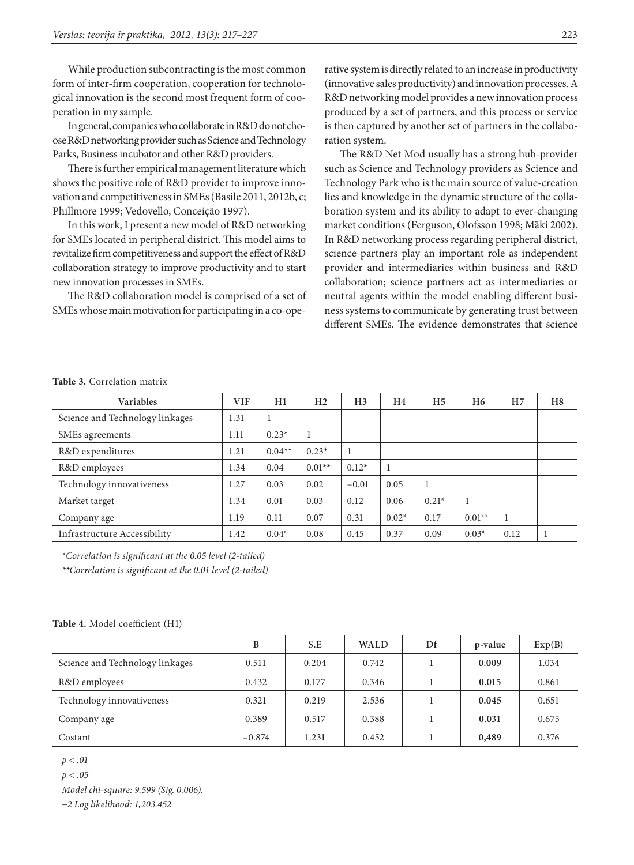While production subcontracting is the most common form of inter-firm cooperation, cooperation for technological innovation is the second most frequent form of cooperation in my sample.

In general, companies who collaborate in R&D do not choose R&D networking provider such as Science and Technology Parks, Business incubator and other R&D providers.

There is further empirical management literature which shows the positive role of R&D provider to improve innovation and competitiveness in SMEs (Basile 2011, 2012b, c; Phillmore 1999; Vedovello, Conceição 1997).

In this work, I present a new model of R&D networking for SMEs located in peripheral district. This model aims to revitalize firm competitiveness and support the effect of R&D collaboration strategy to improve productivity and to start new innovation processes in SMEs.

The R&D collaboration model is comprised of a set of SMEs whose main motivation for participating in a co-operative system is directly related to an increase in productivity (innovative sales productivity) and innovation processes. A R&D networking model provides a new innovation process produced by a set of partners, and this process or service is then captured by another set of partners in the collaboration system.

The R&D Net Mod usually has a strong hub-provider such as Science and Technology providers as Science and Technology Park who is the main source of value-creation lies and knowledge in the dynamic structure of the collaboration system and its ability to adapt to ever-changing market conditions (Ferguson, Olofsson 1998; Mäki 2002). In R&D networking process regarding peripheral district, science partners play an important role as independent provider and intermediaries within business and R&D collaboration; science partners act as intermediaries or neutral agents within the model enabling different business systems to communicate by generating trust between different SMEs. The evidence demonstrates that science

### **Table 3.** Correlation matrix

| <b>Variables</b>                | <b>VIF</b> | H1       | H <sub>2</sub> | H <sub>3</sub> | H4      | H <sub>5</sub> | H <sub>6</sub> | H <sub>7</sub> | H <sub>8</sub> |
|---------------------------------|------------|----------|----------------|----------------|---------|----------------|----------------|----------------|----------------|
| Science and Technology linkages | 1.31       |          |                |                |         |                |                |                |                |
| SMEs agreements                 | 1.11       | $0.23*$  |                |                |         |                |                |                |                |
| R&D expenditures                | 1.21       | $0.04**$ | $0.23*$        | 1              |         |                |                |                |                |
| R&D employees                   | 1.34       | 0.04     | $0.01**$       | $0.12*$        |         |                |                |                |                |
| Technology innovativeness       | 1.27       | 0.03     | 0.02           | $-0.01$        | 0.05    |                |                |                |                |
| Market target                   | 1.34       | 0.01     | 0.03           | 0.12           | 0.06    | $0.21*$        |                |                |                |
| Company age                     | 1.19       | 0.11     | 0.07           | 0.31           | $0.02*$ | 0.17           | $0.01**$       | 1              |                |
| Infrastructure Accessibility    | 1.42       | $0.04*$  | 0.08           | 0.45           | 0.37    | 0.09           | $0.03*$        | 0.12           |                |

*\*Correlation is significant at the 0.05 level (2-tailed)*

*\*\*Correlation is significant at the 0.01 level (2-tailed)*

|  |  |  | Table 4. Model coefficient (H1) |  |
|--|--|--|---------------------------------|--|
|--|--|--|---------------------------------|--|

|                                 | B        | S.E   | <b>WALD</b> | Df | p-value | Exp(B) |
|---------------------------------|----------|-------|-------------|----|---------|--------|
| Science and Technology linkages | 0.511    | 0.204 | 0.742       |    | 0.009   | 1.034  |
| R&D employees                   | 0.432    | 0.177 | 0.346       |    | 0.015   | 0.861  |
| Technology innovativeness       | 0.321    | 0.219 | 2.536       |    | 0.045   | 0.651  |
| Company age                     | 0.389    | 0.517 | 0.388       |    | 0.031   | 0.675  |
| Costant                         | $-0.874$ | 1.231 | 0.452       |    | 0,489   | 0.376  |

*p < .01* 

*p < .05* 

*Model chi-square: 9.599 (Sig. 0.006).*

*−2 Log likelihood: 1,203.452*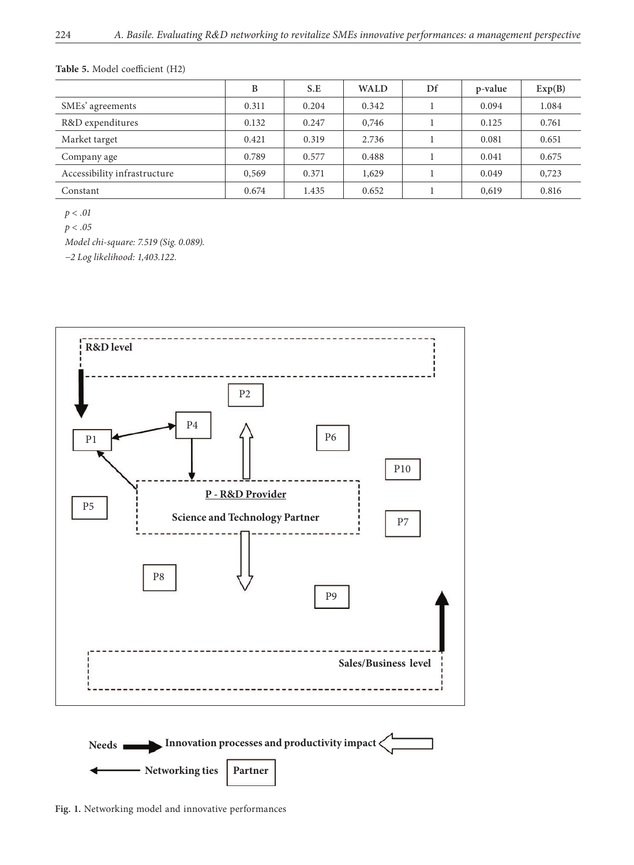## **Table 5.** Model coefficient (H2)

|                              | B     | S.E   | <b>WALD</b> | Df | p-value | Exp(B) |
|------------------------------|-------|-------|-------------|----|---------|--------|
| SMEs' agreements             | 0.311 | 0.204 | 0.342       |    | 0.094   | 1.084  |
| R&D expenditures             | 0.132 | 0.247 | 0,746       |    | 0.125   | 0.761  |
| Market target                | 0.421 | 0.319 | 2.736       |    | 0.081   | 0.651  |
| Company age                  | 0.789 | 0.577 | 0.488       |    | 0.041   | 0.675  |
| Accessibility infrastructure | 0,569 | 0.371 | 1,629       |    | 0.049   | 0,723  |
| Constant                     | 0.674 | 1.435 | 0.652       |    | 0,619   | 0.816  |

*p < .01*

*p < .05*

*Model chi-square: 7.519 (Sig. 0.089).*

*−2 Log likelihood: 1,403.122.*



**Fig. 1.** Networking model and innovative performances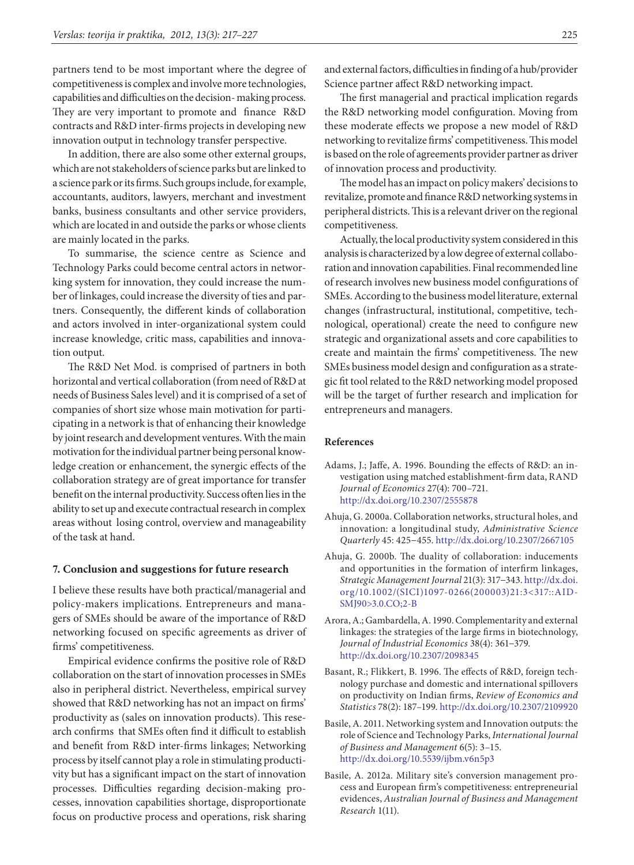partners tend to be most important where the degree of competitiveness is complex and involve more technologies, capabilities and difficulties on the decision- making process. They are very important to promote and finance R&D contracts and R&D inter-firms projects in developing new innovation output in technology transfer perspective.

In addition, there are also some other external groups, which are not stakeholders of science parks but are linked to a science park or its firms. Such groups include, for example, accountants, auditors, lawyers, merchant and investment banks, business consultants and other service providers, which are located in and outside the parks or whose clients are mainly located in the parks.

To summarise, the science centre as Science and Technology Parks could become central actors in networking system for innovation, they could increase the number of linkages, could increase the diversity of ties and partners. Consequently, the different kinds of collaboration and actors involved in inter-organizational system could increase knowledge, critic mass, capabilities and innovation output.

The R&D Net Mod. is comprised of partners in both horizontal and vertical collaboration (from need of R&D at needs of Business Sales level) and it is comprised of a set of companies of short size whose main motivation for participating in a network is that of enhancing their knowledge by joint research and development ventures. With the main motivation for the individual partner being personal knowledge creation or enhancement, the synergic effects of the collaboration strategy are of great importance for transfer benefit on the internal productivity. Success often lies in the ability to set up and execute contractual research in complex areas without losing control, overview and manageability of the task at hand.

### **7. Conclusion and suggestions for future research**

I believe these results have both practical/managerial and policy-makers implications. Entrepreneurs and managers of SMEs should be aware of the importance of R&D networking focused on specific agreements as driver of firms' competitiveness.

Empirical evidence confirms the positive role of R&D collaboration on the start of innovation processes in SMEs also in peripheral district. Nevertheless, empirical survey showed that R&D networking has not an impact on firms' productivity as (sales on innovation products). This research confirms that SMEs often find it difficult to establish and benefit from R&D inter-firms linkages; Networking process by itself cannot play a role in stimulating productivity but has a significant impact on the start of innovation processes. Difficulties regarding decision-making processes, innovation capabilities shortage, disproportionate focus on productive process and operations, risk sharing

and external factors, difficulties in finding of a hub/provider Science partner affect R&D networking impact.

The first managerial and practical implication regards the R&D networking model configuration. Moving from these moderate effects we propose a new model of R&D networking to revitalize firms' competitiveness. This model is based on the role of agreements provider partner as driver of innovation process and productivity.

The model has an impact on policy makers' decisions to revitalize, promote and finance R&D networking systems in peripheral districts. This is a relevant driver on the regional competitiveness.

Actually, the local productivity system considered in this analysis is characterized by a low degree of external collaboration and innovation capabilities. Final recommended line of research involves new business model configurations of SMEs. According to the business model literature, external changes (infrastructural, institutional, competitive, technological, operational) create the need to configure new strategic and organizational assets and core capabilities to create and maintain the firms' competitiveness. The new SMEs business model design and configuration as a strategic fit tool related to the R&D networking model proposed will be the target of further research and implication for entrepreneurs and managers.

### **References**

- Adams, J.; Jaffe, A. 1996. Bounding the effects of R&D: an investigation using matched establishment-firm data, RAND *Journal of Economics* 27(4): 700–721. <http://dx.doi.org/10.2307/2555878>
- Ahuja, G. 2000a. Collaboration networks, structural holes, and innovation: a longitudinal study, *Administrative Science Quarterly* 45: 425−455. <http://dx.doi.org/10.2307/2667105>
- Ahuja, G. 2000b. The duality of collaboration: inducements and opportunities in the formation of interfirm linkages, *Strategic Management Journal* 21(3): 317−343. [http://dx.doi.](http://dx.doi.org/10.1002/(SICI)1097-0266(200003)21:3%3c317::AID-SMJ90%3e3.0.CO;2-B) [org/10.1002/\(SICI\)1097-0266\(200003\)21:3<317::AID-](http://dx.doi.org/10.1002/(SICI)1097-0266(200003)21:3%3c317::AID-SMJ90%3e3.0.CO;2-B)[SMJ90>3.0.CO;2-B](http://dx.doi.org/10.1002/(SICI)1097-0266(200003)21:3%3c317::AID-SMJ90%3e3.0.CO;2-B)
- Arora, A.; Gambardella, A. 1990. Complementarity and external linkages: the strategies of the large firms in biotechnology, *Journal of Industrial Economics* 38(4): 361−379. <http://dx.doi.org/10.2307/2098345>
- Basant, R.; Flikkert, B. 1996. The effects of R&D, foreign technology purchase and domestic and international spillovers on productivity on Indian firms, *Review of Economics and Statistics* 78(2): 187–199.<http://dx.doi.org/10.2307/2109920>
- Basile, A. 2011. Networking system and Innovation outputs: the role of Science and Technology Parks, *International Journal of Business and Management* 6(5): 3–15. <http://dx.doi.org/10.5539/ijbm.v6n5p3>
- Basile, A. 2012a. Military site's conversion management process and European firm's competitiveness: entrepreneurial evidences, *Australian Journal of Business and Management Research* 1(11).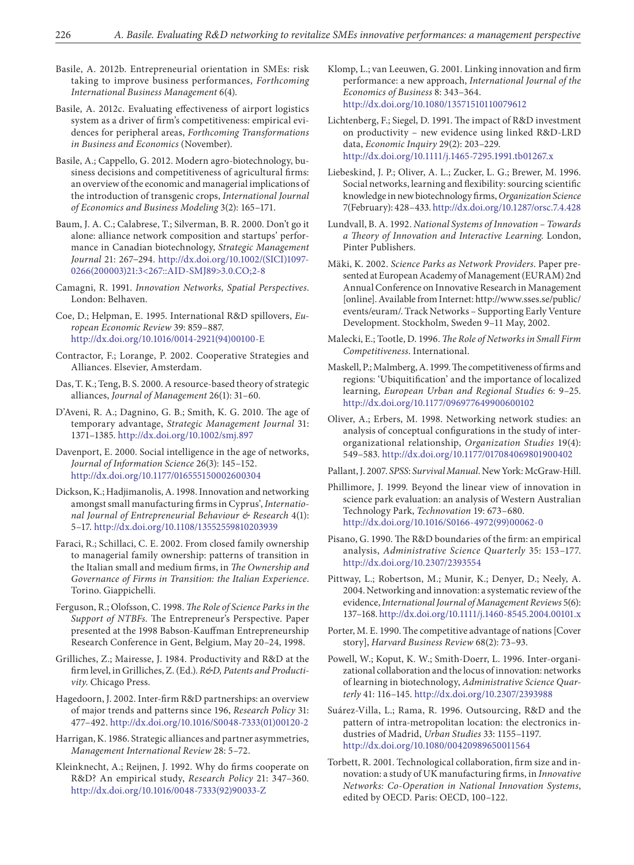- Basile, A. 2012b. Entrepreneurial orientation in SMEs: risk taking to improve business performances, *Forthcoming International Business Management* 6(4).
- Basile, A. 2012c. Evaluating effectiveness of airport logistics system as a driver of firm's competitiveness: empirical evidences for peripheral areas, *Forthcoming Transformations in Business and Economics* (November).
- Basile, A.; Cappello, G. 2012. Modern agro-biotechnology, business decisions and competitiveness of agricultural firms: an overview of the economic and managerial implications of the introduction of transgenic crops, *International Journal of Economics and Business Modeling* 3(2): 165–171.
- Baum, J. A. C.; Calabrese, T.; Silverman, B. R. 2000. Don't go it alone: alliance network composition and startups' performance in Canadian biotechnology, *Strategic Management Journal* 21: 267−294. [http://dx.doi.org/10.1002/\(SICI\)1097-](http://dx.doi.org/10.1002/(SICI)1097-0266(200003)21:3%3c267::AID-SMJ89%3e3.0.CO;2-8) [0266\(200003\)21:3<267::AID-SMJ89>3.0.CO;2-8](http://dx.doi.org/10.1002/(SICI)1097-0266(200003)21:3%3c267::AID-SMJ89%3e3.0.CO;2-8)
- Camagni, R. 1991. *Innovation Networks, Spatial Perspectives*. London: Belhaven.
- Coe, D.; Helpman, E. 1995. International R&D spillovers, *European Economic Review* 39: 859–887. [http://dx.doi.org/10.1016/0014-2921\(94\)00100-E](http://dx.doi.org/10.1016/0014-2921(94)00100-E)
- Contractor, F.; Lorange, P. 2002. Cooperative Strategies and Alliances. Elsevier, Amsterdam.
- Das, T. K.; Teng, B. S. 2000. A resource-based theory of strategic alliances, *Journal of Management* 26(1): 31–60.
- D'Aveni, R. A.; Dagnino, G. B.; Smith, K. G. 2010. The age of temporary advantage, *Strategic Management Journal* 31: 1371–1385.<http://dx.doi.org/10.1002/smj.897>
- Davenport, E. 2000. Social intelligence in the age of networks, *Journal of Information Science* 26(3): 145–152. <http://dx.doi.org/10.1177/016555150002600304>
- Dickson, K.; Hadjimanolis, A. 1998. Innovation and networking amongst small manufacturing firms in Cyprus', *International Journal of Entrepreneurial Behaviour & Research* 4(1): 5–17.<http://dx.doi.org/10.1108/13552559810203939>
- Faraci, R.; Schillaci, C. E. 2002. From closed family ownership to managerial family ownership: patterns of transition in the Italian small and medium firms, in *The Ownership and Governance of Firms in Transition: the Italian Experience*. Torino. Giappichelli.
- Ferguson, R.; Olofsson, C. 1998. *The Role of Science Parks in the Support of NTBFs*. The Entrepreneur's Perspective. Paper presented at the 1998 Babson-Kauffman Entrepreneurship Research Conference in Gent, Belgium, May 20–24, 1998.
- Grilliches, Z.; Mairesse, J. 1984. Productivity and R&D at the firm level, in Grilliches, Z. (Ed.). *R&D, Patents and Productivity*. Chicago Press.
- Hagedoorn, J. 2002. Inter-firm R&D partnerships: an overview of major trends and patterns since 196, *Research Policy* 31: 477–492. [http://dx.doi.org/10.1016/S0048-7333\(01\)00120-2](http://dx.doi.org/10.1016/S0048-7333(01)00120-2)
- Harrigan, K. 1986. Strategic alliances and partner asymmetries, *Management International Review* 28: 5–72.
- Kleinknecht, A.; Reijnen, J. 1992. Why do firms cooperate on R&D? An empirical study, *Research Policy* 21: 347–360. [http://dx.doi.org/10.1016/0048-7333\(92\)90033-Z](http://dx.doi.org/10.1016/0048-7333(92)90033-Z)
- Klomp, L.; van Leeuwen, G. 2001. Linking innovation and firm performance: a new approach, *International Journal of the Economics of Business* 8: 343–364. <http://dx.doi.org/10.1080/13571510110079612>
- Lichtenberg, F.; Siegel, D. 1991. The impact of R&D investment on productivity – new evidence using linked R&D-LRD data, *Economic Inquiry* 29(2): 203–229. <http://dx.doi.org/10.1111/j.1465-7295.1991.tb01267.x>
- Liebeskind, J. P.; Oliver, A. L.; Zucker, L. G.; Brewer, M. 1996. Social networks, learning and flexibility: sourcing scientific knowledge in new biotechnology firms, *Organization Science*  7(February): 428–433.<http://dx.doi.org/10.1287/orsc.7.4.428>
- Lundvall, B. A. 1992. *National Systems of Innovation Towards a Theory of Innovation and Interactive Learning*. London, Pinter Publishers.
- Mäki, K. 2002. *Science Parks as Network Providers*. Paper presented at European Academy of Management (EURAM) 2nd Annual Conference on Innovative Research in Management [online]. Available from Internet: http://www.sses.se/public/ events/euram/. Track Networks – Supporting Early Venture Development. Stockholm, Sweden 9–11 May, 2002.
- Malecki, E.; Tootle, D. 1996. *The Role of Networks in Small Firm Competitiveness*. International.
- Maskell, P.; Malmberg, A. 1999. The competitiveness of firms and regions: 'Ubiquitification' and the importance of localized learning, *European Urban and Regional Studies* 6: 9–25. <http://dx.doi.org/10.1177/096977649900600102>
- Oliver, A.; Erbers, M. 1998. Networking network studies: an analysis of conceptual configurations in the study of interorganizational relationship, *Organization Studies* 19(4): 549–583.<http://dx.doi.org/10.1177/017084069801900402>
- Pallant, J. 2007. *SPSS*: *Survival Manual*. New York: McGraw-Hill.
- Phillimore, J. 1999. Beyond the linear view of innovation in science park evaluation: an analysis of Western Australian Technology Park, *Technovation* 19: 673–680. [http://dx.doi.org/10.1016/S0166-4972\(99\)00062-0](http://dx.doi.org/10.1016/S0166-4972(99)00062-0)
- Pisano, G. 1990. The R&D boundaries of the firm: an empirical analysis, *Administrative Science Quarterly* 35: 153–177. <http://dx.doi.org/10.2307/2393554>
- Pittway, L.; Robertson, M.; Munir, K.; Denyer, D.; Neely, A. 2004. Networking and innovation: a systematic review of the evidence, *International Journal of Management Reviews* 5(6): 137–168.<http://dx.doi.org/10.1111/j.1460-8545.2004.00101.x>
- Porter, M. E. 1990. The competitive advantage of nations [Cover story], *Harvard Business Review* 68(2): 73–93.
- Powell, W.; Koput, K. W.; Smith-Doerr, L. 1996. Inter-organizational collaboration and the locus of innovation: networks of learning in biotechnology, *Administrative Science Quarterly* 41: 116–145.<http://dx.doi.org/10.2307/2393988>
- Suárez-Villa, L.; Rama, R. 1996. Outsourcing, R&D and the pattern of intra-metropolitan location: the electronics industries of Madrid, *Urban Studies* 33: 1155–1197. <http://dx.doi.org/10.1080/00420989650011564>
- Torbett, R. 2001. Technological collaboration, firm size and innovation: a study of UK manufacturing firms, in *Innovative Networks: Co-Operation in National Innovation Systems*, edited by OECD. Paris: OECD, 100–122.